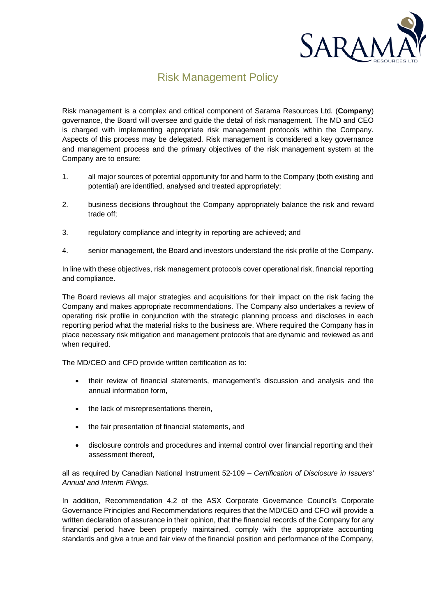

## Risk Management Policy

Risk management is a complex and critical component of Sarama Resources Ltd. (**Company**) governance, the Board will oversee and guide the detail of risk management. The MD and CEO is charged with implementing appropriate risk management protocols within the Company. Aspects of this process may be delegated. Risk management is considered a key governance and management process and the primary objectives of the risk management system at the Company are to ensure:

- 1. all major sources of potential opportunity for and harm to the Company (both existing and potential) are identified, analysed and treated appropriately;
- 2. business decisions throughout the Company appropriately balance the risk and reward trade off;
- 3. regulatory compliance and integrity in reporting are achieved; and
- 4. senior management, the Board and investors understand the risk profile of the Company.

In line with these objectives, risk management protocols cover operational risk, financial reporting and compliance.

The Board reviews all major strategies and acquisitions for their impact on the risk facing the Company and makes appropriate recommendations. The Company also undertakes a review of operating risk profile in conjunction with the strategic planning process and discloses in each reporting period what the material risks to the business are. Where required the Company has in place necessary risk mitigation and management protocols that are dynamic and reviewed as and when required.

The MD/CEO and CFO provide written certification as to:

- their review of financial statements, management's discussion and analysis and the annual information form,
- the lack of misrepresentations therein,
- the fair presentation of financial statements, and
- disclosure controls and procedures and internal control over financial reporting and their assessment thereof,

all as required by Canadian National Instrument 52-109 – *Certification of Disclosure in Issuers' Annual and Interim Filings*.

In addition, Recommendation 4.2 of the ASX Corporate Governance Council's Corporate Governance Principles and Recommendations requires that the MD/CEO and CFO will provide a written declaration of assurance in their opinion, that the financial records of the Company for any financial period have been properly maintained, comply with the appropriate accounting standards and give a true and fair view of the financial position and performance of the Company,